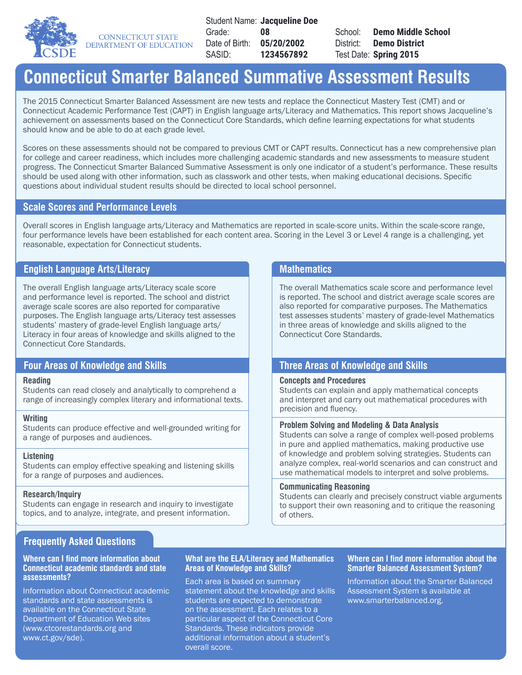

**CONNECTICUT STATE** DEPARTMENT OF EDUCATION

Student Name: **Jacqueline Doe** Grade: Date of Birth: SASID: **08 05/20/2002 1234567892**

School: District: Test Date: **Spring 2015Demo Middle School Demo District**

# **Connecticut Smarter Balanced Summative Assessment Results**

The 2015 Connecticut Smarter Balanced Assessment are new tests and replace the Connecticut Mastery Test (CMT) and or Connecticut Academic Performance Test (CAPT) in English language arts/Literacy and Mathematics. This report shows Jacqueline's achievement on assessments based on the Connecticut Core Standards, which define learning expectations for what students should know and be able to do at each grade level.

Scores on these assessments should not be compared to previous CMT or CAPT results. Connecticut has a new comprehensive plan for college and career readiness, which includes more challenging academic standards and new assessments to measure student progress. The Connecticut Smarter Balanced Summative Assessment is only one indicator of a student's performance. These results should be used along with other information, such as classwork and other tests, when making educational decisions. Specific questions about individual student results should be directed to local school personnel.

# **Scale Scores and Performance Levels**

Overall scores in English language arts/Literacy and Mathematics are reported in scale-score units. Within the scale-score range, four performance levels have been established for each content area. Scoring in the Level 3 or Level 4 range is a challenging, yet reasonable, expectation for Connecticut students.

# **English Language Arts/Literacy Mathematics Mathematics**

The overall English language arts/Literacy scale score and performance level is reported. The school and district average scale scores are also reported for comparative purposes. The English language arts/Literacy test assesses students' mastery of grade-level English language arts/ Literacy in four areas of knowledge and skills aligned to the Connecticut Core Standards.

## **Reading**

Students can read closely and analytically to comprehend a range of increasingly complex literary and informational texts.

### **Writing**

Students can produce effective and well-grounded writing for a range of purposes and audiences.

### **Listening**

Students can employ effective speaking and listening skills for a range of purposes and audiences.

### **Research/Inquiry**

Students can engage in research and inquiry to investigate topics, and to analyze, integrate, and present information.

The overall Mathematics scale score and performance level is reported. The school and district average scale scores are also reported for comparative purposes. The Mathematics test assesses students' mastery of grade-level Mathematics in three areas of knowledge and skills aligned to the Connecticut Core Standards.

# **Four Areas of Knowledge and Skills Three Areas of Knowledge and Skills**

### **Concepts and Procedures**

Students can explain and apply mathematical concepts and interpret and carry out mathematical procedures with precision and fluency.

### **Problem Solving and Modeling & Data Analysis**

Students can solve a range of complex well-posed problems in pure and applied mathematics, making productive use of knowledge and problem solving strategies. Students can analyze complex, real-world scenarios and can construct and use mathematical models to interpret and solve problems.

### **Communicating Reasoning**

Students can clearly and precisely construct viable arguments to support their own reasoning and to critique the reasoning of others.

# **Frequently Asked Questions**

### **Where can I find more information about Connecticut academic standards and state assessments?**

Information about Connecticut academic standards and state assessments is available on the Connecticut State Department of Education Web sites (www.ctcorestandards.org and www.ct.gov/sde).

### **What are the ELA/Literacy and Mathematics Areas of Knowledge and Skills?**

Each area is based on summary statement about the knowledge and skills students are expected to demonstrate on the assessment. Each relates to a particular aspect of the Connecticut Core Standards. These indicators provide additional information about a student's overall score.

### **Where can I find more information about the Smarter Balanced Assessment System?**

Information about the Smarter Balanced Assessment System is available at www.smarterbalanced.org.